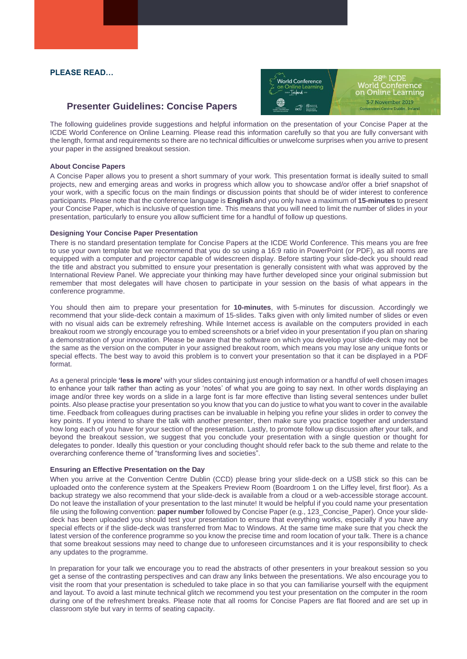# **PLEASE READ…**

# **Presenter Guidelines: Concise Papers**



The following guidelines provide suggestions and helpful information on the presentation of your Concise Paper at the ICDE World Conference on Online Learning. Please read this information carefully so that you are fully conversant with the length, format and requirements so there are no technical difficulties or unwelcome surprises when you arrive to present your paper in the assigned breakout session.

#### **About Concise Papers**

A Concise Paper allows you to present a short summary of your work. This presentation format is ideally suited to small projects, new and emerging areas and works in progress which allow you to showcase and/or offer a brief snapshot of your work, with a specific focus on the main findings or discussion points that should be of wider interest to conference participants. Please note that the conference language is **English** and you only have a maximum of **15-minutes** to present your Concise Paper, which is inclusive of question time. This means that you will need to limit the number of slides in your presentation, particularly to ensure you allow sufficient time for a handful of follow up questions.

#### **Designing Your Concise Paper Presentation**

There is no standard presentation template for Concise Papers at the ICDE World Conference. This means you are free to use your own template but we recommend that you do so using a 16:9 ratio in PowerPoint (or PDF), as all rooms are equipped with a computer and projector capable of widescreen display. Before starting your slide-deck you should read the title and abstract you submitted to ensure your presentation is generally consistent with what was approved by the International Review Panel. We appreciate your thinking may have further developed since your original submission but remember that most delegates will have chosen to participate in your session on the basis of what appears in the conference programme.

You should then aim to prepare your presentation for **10-minutes**, with 5-minutes for discussion. Accordingly we recommend that your slide-deck contain a maximum of 15-slides. Talks given with only limited number of slides or even with no visual aids can be extremely refreshing. While Internet access is available on the computers provided in each breakout room we strongly encourage you to embed screenshots or a brief video in your presentation if you plan on sharing a demonstration of your innovation. Please be aware that the software on which you develop your slide-deck may not be the same as the version on the computer in your assigned breakout room, which means you may lose any unique fonts or special effects. The best way to avoid this problem is to convert your presentation so that it can be displayed in a PDF format.

As a general principle **'less is more'** with your slides containing just enough information or a handful of well chosen images to enhance your talk rather than acting as your 'notes' of what you are going to say next. In other words displaying an image and/or three key words on a slide in a large font is far more effective than listing several sentences under bullet points. Also please practise your presentation so you know that you can do justice to what you want to cover in the available time. Feedback from colleagues during practises can be invaluable in helping you refine your slides in order to convey the key points. If you intend to share the talk with another presenter, then make sure you practice together and understand how long each of you have for your section of the presentation. Lastly, to promote follow up discussion after your talk, and beyond the breakout session, we suggest that you conclude your presentation with a single question or thought for delegates to ponder. Ideally this question or your concluding thought should refer back to the sub theme and relate to the overarching conference theme of "transforming lives and societies".

## **Ensuring an Effective Presentation on the Day**

When you arrive at the Convention Centre Dublin (CCD) please bring your slide-deck on a USB stick so this can be uploaded onto the conference system at the Speakers Preview Room (Boardroom 1 on the Liffey level, first floor). As a backup strategy we also recommend that your slide-deck is available from a cloud or a web-accessible storage account. Do not leave the installation of your presentation to the last minute! It would be helpful if you could name your presentation file using the following convention: **paper number** followed by Concise Paper (e.g., 123\_Concise\_Paper). Once your slidedeck has been uploaded you should test your presentation to ensure that everything works, especially if you have any special effects or if the slide-deck was transferred from Mac to Windows. At the same time make sure that you check the latest version of the conference programme so you know the precise time and room location of your talk. There is a chance that some breakout sessions may need to change due to unforeseen circumstances and it is your responsibility to check any updates to the programme.

In preparation for your talk we encourage you to read the abstracts of other presenters in your breakout session so you get a sense of the contrasting perspectives and can draw any links between the presentations. We also encourage you to visit the room that your presentation is scheduled to take place in so that you can familiarise yourself with the equipment and layout. To avoid a last minute technical glitch we recommend you test your presentation on the computer in the room during one of the refreshment breaks. Please note that all rooms for Concise Papers are flat floored and are set up in classroom style but vary in terms of seating capacity.